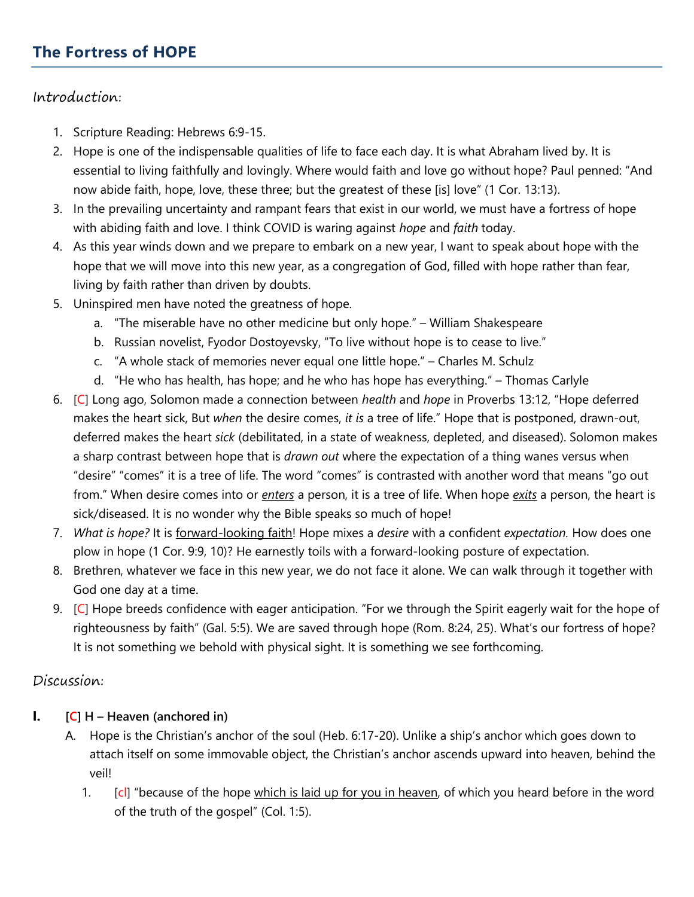# The Fortress of HOPE

### Introduction:

- 1. Scripture Reading: Hebrews 6:9-15.
- 2. Hope is one of the indispensable qualities of life to face each day. It is what Abraham lived by. It is essential to living faithfully and lovingly. Where would faith and love go without hope? Paul penned: "And now abide faith, hope, love, these three; but the greatest of these [is] love" (1 Cor. 13:13).
- 3. In the prevailing uncertainty and rampant fears that exist in our world, we must have a fortress of hope with abiding faith and love. I think COVID is waring against *hope* and *faith* today.
- 4. As this year winds down and we prepare to embark on a new year, I want to speak about hope with the hope that we will move into this new year, as a congregation of God, filled with hope rather than fear, living by faith rather than driven by doubts.
- 5. Uninspired men have noted the greatness of hope.
	- a. "The miserable have no other medicine but only hope." William Shakespeare
	- b. Russian novelist, Fyodor Dostoyevsky, "To live without hope is to cease to live."
	- c. "A whole stack of memories never equal one little hope." Charles M. Schulz
	- d. "He who has health, has hope; and he who has hope has everything." Thomas Carlyle
- 6. [C] Long ago, Solomon made a connection between health and hope in Proverbs 13:12, "Hope deferred makes the heart sick, But when the desire comes, it is a tree of life." Hope that is postponed, drawn-out, deferred makes the heart sick (debilitated, in a state of weakness, depleted, and diseased). Solomon makes a sharp contrast between hope that is *drawn out* where the expectation of a thing wanes versus when "desire" "comes" it is a tree of life. The word "comes" is contrasted with another word that means "go out from." When desire comes into or *enters* a person, it is a tree of life. When hope *exits* a person, the heart is sick/diseased. It is no wonder why the Bible speaks so much of hope!
- 7. What is hope? It is forward-looking faith! Hope mixes a desire with a confident expectation. How does one plow in hope (1 Cor. 9:9, 10)? He earnestly toils with a forward-looking posture of expectation.
- 8. Brethren, whatever we face in this new year, we do not face it alone. We can walk through it together with God one day at a time.
- 9. [C] Hope breeds confidence with eager anticipation. "For we through the Spirit eagerly wait for the hope of righteousness by faith" (Gal. 5:5). We are saved through hope (Rom. 8:24, 25). What's our fortress of hope? It is not something we behold with physical sight. It is something we see forthcoming.

# Discussion:

- **I.**  $[C]$  H Heaven (anchored in)
	- A. Hope is the Christian's anchor of the soul (Heb. 6:17-20). Unlike a ship's anchor which goes down to attach itself on some immovable object, the Christian's anchor ascends upward into heaven, behind the veil!
		- 1. [cl] "because of the hope which is laid up for you in heaven, of which you heard before in the word of the truth of the gospel" (Col. 1:5).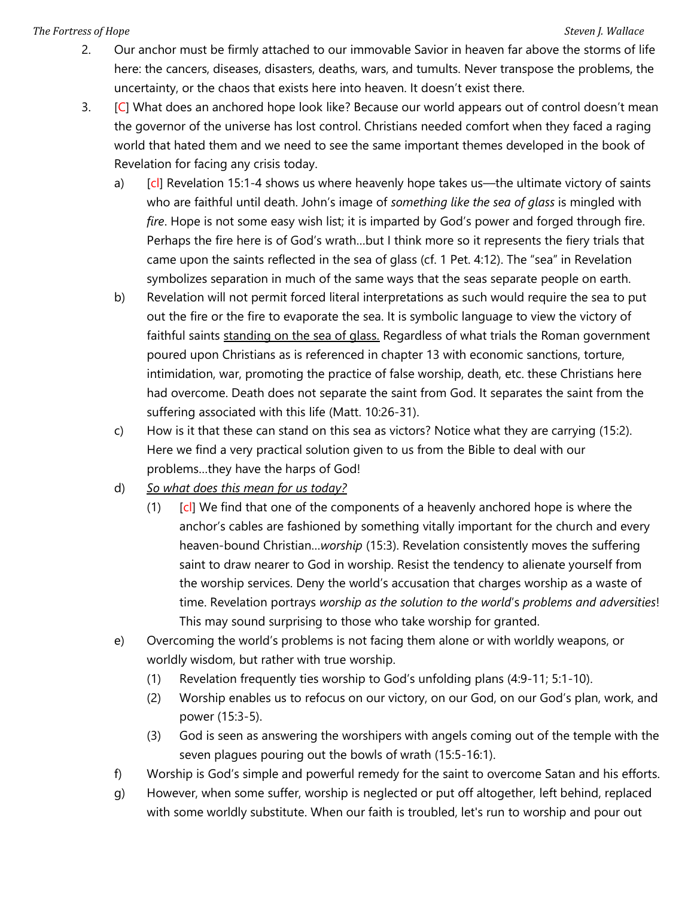#### The Fortress of Hope Steven J. Wallace Steven J. Wallace Steven J. Wallace Steven J. Wallace

- 2. Our anchor must be firmly attached to our immovable Savior in heaven far above the storms of life here: the cancers, diseases, disasters, deaths, wars, and tumults. Never transpose the problems, the uncertainty, or the chaos that exists here into heaven. It doesn't exist there.
- 3. [C] What does an anchored hope look like? Because our world appears out of control doesn't mean the governor of the universe has lost control. Christians needed comfort when they faced a raging world that hated them and we need to see the same important themes developed in the book of Revelation for facing any crisis today.
	- a) [cl] Revelation 15:1-4 shows us where heavenly hope takes us—the ultimate victory of saints who are faithful until death. John's image of something like the sea of glass is mingled with fire. Hope is not some easy wish list; it is imparted by God's power and forged through fire. Perhaps the fire here is of God's wrath…but I think more so it represents the fiery trials that came upon the saints reflected in the sea of glass (cf. 1 Pet. 4:12). The "sea" in Revelation symbolizes separation in much of the same ways that the seas separate people on earth.
	- b) Revelation will not permit forced literal interpretations as such would require the sea to put out the fire or the fire to evaporate the sea. It is symbolic language to view the victory of faithful saints standing on the sea of glass. Regardless of what trials the Roman government poured upon Christians as is referenced in chapter 13 with economic sanctions, torture, intimidation, war, promoting the practice of false worship, death, etc. these Christians here had overcome. Death does not separate the saint from God. It separates the saint from the suffering associated with this life (Matt. 10:26-31).
	- c) How is it that these can stand on this sea as victors? Notice what they are carrying (15:2). Here we find a very practical solution given to us from the Bible to deal with our problems…they have the harps of God!
	- d) So what does this mean for us today?
		- (1) [cl] We find that one of the components of a heavenly anchored hope is where the anchor's cables are fashioned by something vitally important for the church and every heaven-bound Christian...worship (15:3). Revelation consistently moves the suffering saint to draw nearer to God in worship. Resist the tendency to alienate yourself from the worship services. Deny the world's accusation that charges worship as a waste of time. Revelation portrays worship as the solution to the world's problems and adversities! This may sound surprising to those who take worship for granted.
	- e) Overcoming the world's problems is not facing them alone or with worldly weapons, or worldly wisdom, but rather with true worship.
		- (1) Revelation frequently ties worship to God's unfolding plans (4:9-11; 5:1-10).
		- (2) Worship enables us to refocus on our victory, on our God, on our God's plan, work, and power (15:3-5).
		- (3) God is seen as answering the worshipers with angels coming out of the temple with the seven plagues pouring out the bowls of wrath (15:5-16:1).
	- f) Worship is God's simple and powerful remedy for the saint to overcome Satan and his efforts.
	- g) However, when some suffer, worship is neglected or put off altogether, left behind, replaced with some worldly substitute. When our faith is troubled, let's run to worship and pour out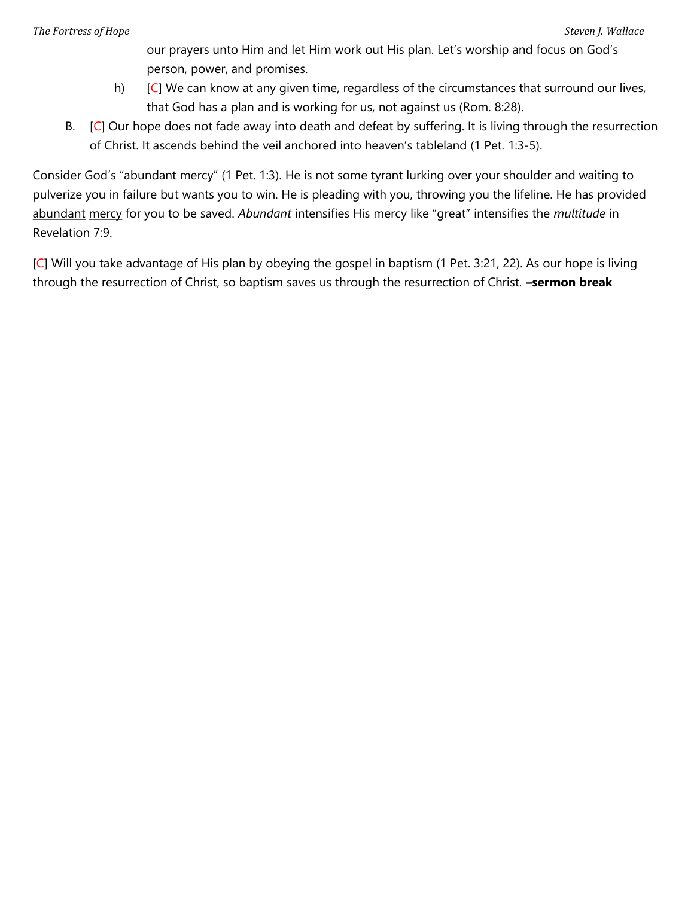our prayers unto Him and let Him work out His plan. Let's worship and focus on God's person, power, and promises.

- h) [C] We can know at any given time, regardless of the circumstances that surround our lives, that God has a plan and is working for us, not against us (Rom. 8:28).
- B. [C] Our hope does not fade away into death and defeat by suffering. It is living through the resurrection of Christ. It ascends behind the veil anchored into heaven's tableland (1 Pet. 1:3-5).

Consider God's "abundant mercy" (1 Pet. 1:3). He is not some tyrant lurking over your shoulder and waiting to pulverize you in failure but wants you to win. He is pleading with you, throwing you the lifeline. He has provided abundant mercy for you to be saved. Abundant intensifies His mercy like "great" intensifies the multitude in Revelation 7:9.

[C] Will you take advantage of His plan by obeying the gospel in baptism (1 Pet. 3:21, 22). As our hope is living through the resurrection of Christ, so baptism saves us through the resurrection of Christ. - sermon break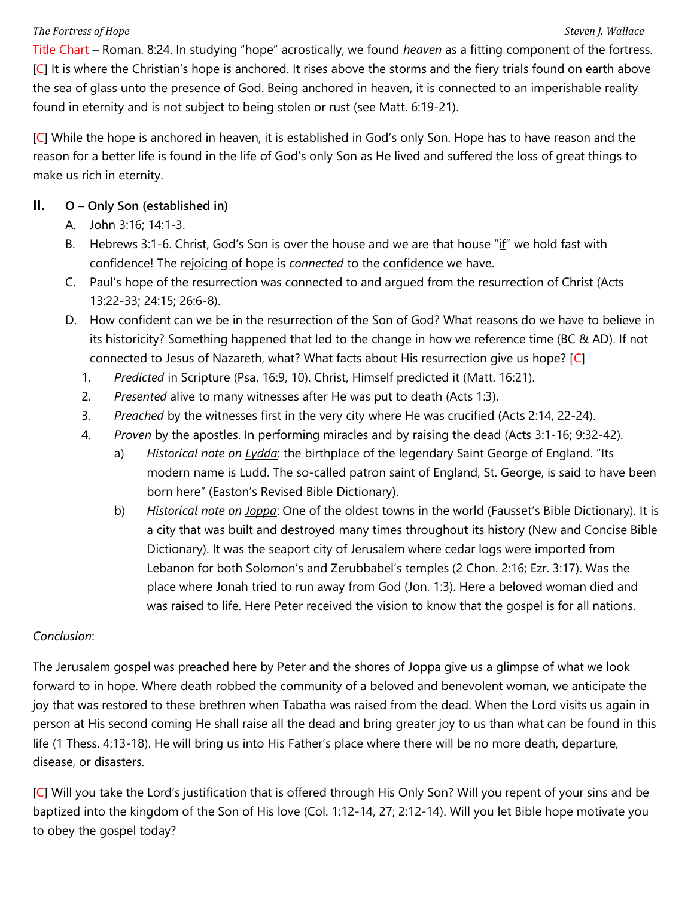#### The Fortress of Hope Steven J. Wallace Steven J. Wallace Steven J. Wallace Steven J. Wallace

Title Chart – Roman. 8:24. In studying "hope" acrostically, we found heaven as a fitting component of the fortress. [C] It is where the Christian's hope is anchored. It rises above the storms and the fiery trials found on earth above the sea of glass unto the presence of God. Being anchored in heaven, it is connected to an imperishable reality found in eternity and is not subject to being stolen or rust (see Matt. 6:19-21).

[C] While the hope is anchored in heaven, it is established in God's only Son. Hope has to have reason and the reason for a better life is found in the life of God's only Son as He lived and suffered the loss of great things to make us rich in eternity.

#### II. O – Only Son (established in)

- A. John 3:16; 14:1-3.
- B. Hebrews 3:1-6. Christ, God's Son is over the house and we are that house "if" we hold fast with confidence! The rejoicing of hope is connected to the confidence we have.
- C. Paul's hope of the resurrection was connected to and argued from the resurrection of Christ (Acts 13:22-33; 24:15; 26:6-8).
- D. How confident can we be in the resurrection of the Son of God? What reasons do we have to believe in its historicity? Something happened that led to the change in how we reference time (BC & AD). If not connected to Jesus of Nazareth, what? What facts about His resurrection give us hope? [C]
	- 1. Predicted in Scripture (Psa. 16:9, 10). Christ, Himself predicted it (Matt. 16:21).
	- 2. Presented alive to many witnesses after He was put to death (Acts 1:3).
	- 3. Preached by the witnesses first in the very city where He was crucified (Acts 2:14, 22-24).
	- 4. Proven by the apostles. In performing miracles and by raising the dead (Acts 3:1-16; 9:32-42).
		- a) Historical note on  $Lydda$ : the birthplace of the legendary Saint George of England. "Its modern name is Ludd. The so-called patron saint of England, St. George, is said to have been born here" (Easton's Revised Bible Dictionary).
		- b) Historical note on *Joppa*: One of the oldest towns in the world (Fausset's Bible Dictionary). It is a city that was built and destroyed many times throughout its history (New and Concise Bible Dictionary). It was the seaport city of Jerusalem where cedar logs were imported from Lebanon for both Solomon's and Zerubbabel's temples (2 Chon. 2:16; Ezr. 3:17). Was the place where Jonah tried to run away from God (Jon. 1:3). Here a beloved woman died and was raised to life. Here Peter received the vision to know that the gospel is for all nations.

# Conclusion:

The Jerusalem gospel was preached here by Peter and the shores of Joppa give us a glimpse of what we look forward to in hope. Where death robbed the community of a beloved and benevolent woman, we anticipate the joy that was restored to these brethren when Tabatha was raised from the dead. When the Lord visits us again in person at His second coming He shall raise all the dead and bring greater joy to us than what can be found in this life (1 Thess. 4:13-18). He will bring us into His Father's place where there will be no more death, departure, disease, or disasters.

[C] Will you take the Lord's justification that is offered through His Only Son? Will you repent of your sins and be baptized into the kingdom of the Son of His love (Col. 1:12-14, 27; 2:12-14). Will you let Bible hope motivate you to obey the gospel today?